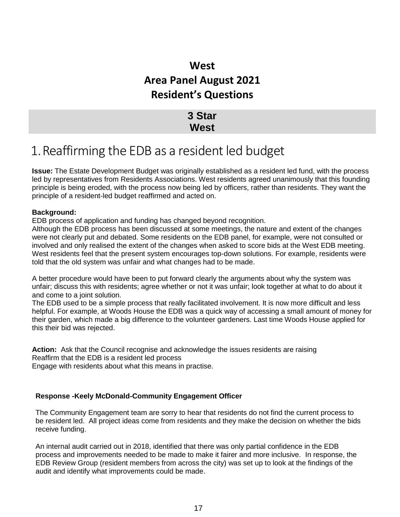### **West Area Panel August 2021 Resident's Questions**

### **3 Star West**

## 1.Reaffirming the EDB as a resident led budget

**Issue:** The Estate Development Budget was originally established as a resident led fund, with the process led by representatives from Residents Associations. West residents agreed unanimously that this founding principle is being eroded, with the process now being led by officers, rather than residents. They want the principle of a resident-led budget reaffirmed and acted on.

### **Background:**

EDB process of application and funding has changed beyond recognition.

Although the EDB process has been discussed at some meetings, the nature and extent of the changes were not clearly put and debated. Some residents on the EDB panel, for example, were not consulted or involved and only realised the extent of the changes when asked to score bids at the West EDB meeting. West residents feel that the present system encourages top-down solutions. For example, residents were told that the old system was unfair and what changes had to be made.

A better procedure would have been to put forward clearly the arguments about why the system was unfair; discuss this with residents; agree whether or not it was unfair; look together at what to do about it and come to a joint solution.

The EDB used to be a simple process that really facilitated involvement. It is now more difficult and less helpful. For example, at Woods House the EDB was a quick way of accessing a small amount of money for their garden, which made a big difference to the volunteer gardeners. Last time Woods House applied for this their bid was rejected.

**Action:** Ask that the Council recognise and acknowledge the issues residents are raising Reaffirm that the EDB is a resident led process

Engage with residents about what this means in practise.

### **Response -Keely McDonald-Community Engagement Officer**

The Community Engagement team are sorry to hear that residents do not find the current process to be resident led. All project ideas come from residents and they make the decision on whether the bids receive funding.

An internal audit carried out in 2018, identified that there was only partial confidence in the EDB process and improvements needed to be made to make it fairer and more inclusive. In response, the EDB Review Group (resident members from across the city) was set up to look at the findings of the audit and identify what improvements could be made.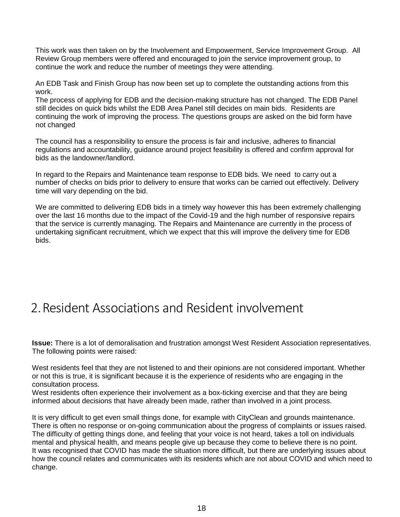This work was then taken on by the Involvement and Empowerment, Service Improvement Group. All Review Group members were offered and encouraged to join the service improvement group, to continue the work and reduce the number of meetings they were attending.

An EDB Task and Finish Group has now been set up to complete the outstanding actions from this work.

The process of applying for EDB and the decision-making structure has not changed. The EDB Panel still decides on quick bids whilst the EDB Area Panel still decides on main bids. Residents are continuing the work of improving the process. The questions groups are asked on the bid form have not changed

The council has a responsibility to ensure the process is fair and inclusive, adheres to financial regulations and accountability, guidance around project feasibility is offered and confirm approval for bids as the landowner/landlord.

In regard to the Repairs and Maintenance team response to EDB bids. We need to carry out a number of checks on bids prior to delivery to ensure that works can be carried out effectively. Delivery time will vary depending on the bid.

We are committed to delivering EDB bids in a timely way however this has been extremely challenging over the last 16 months due to the impact of the Covid-19 and the high number of responsive repairs that the service is currently managing. The Repairs and Maintenance are currently in the process of undertaking significant recruitment, which we expect that this will improve the delivery time for EDB bids.

## 2.Resident Associations and Resident involvement

**Issue:** There is a lot of demoralisation and frustration amongst West Resident Association representatives. The following points were raised:

West residents feel that they are not listened to and their opinions are not considered important. Whether or not this is true, it is significant because it is the experience of residents who are engaging in the consultation process.

West residents often experience their involvement as a box-ticking exercise and that they are being informed about decisions that have already been made, rather than involved in a joint process.

It is very difficult to get even small things done, for example with CityClean and grounds maintenance. There is often no response or on-going communication about the progress of complaints or issues raised. The difficulty of getting things done, and feeling that your voice is not heard, takes a toll on individuals mental and physical health, and means people give up because they come to believe there is no point. It was recognised that COVID has made the situation more difficult, but there are underlying issues about how the council relates and communicates with its residents which are not about COVID and which need to change.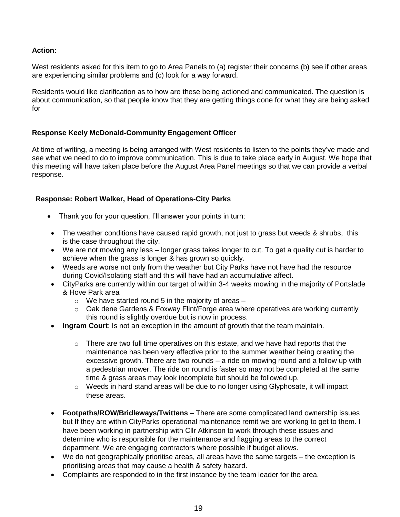### **Action:**

West residents asked for this item to go to Area Panels to (a) register their concerns (b) see if other areas are experiencing similar problems and (c) look for a way forward.

Residents would like clarification as to how are these being actioned and communicated. The question is about communication, so that people know that they are getting things done for what they are being asked for

### **Response Keely McDonald-Community Engagement Officer**

At time of writing, a meeting is being arranged with West residents to listen to the points they've made and see what we need to do to improve communication. This is due to take place early in August. We hope that this meeting will have taken place before the August Area Panel meetings so that we can provide a verbal response.

### **Response: Robert Walker, Head of Operations-City Parks**

- Thank you for your question, I'll answer your points in turn:
- The weather conditions have caused rapid growth, not just to grass but weeds & shrubs, this is the case throughout the city.
- We are not mowing any less longer grass takes longer to cut. To get a quality cut is harder to achieve when the grass is longer & has grown so quickly.
- Weeds are worse not only from the weather but City Parks have not have had the resource during Covid/Isolating staff and this will have had an accumulative affect.
- CityParks are currently within our target of within 3-4 weeks mowing in the majority of Portslade & Hove Park area
	- $\circ$  We have started round 5 in the majority of areas  $-$
	- $\circ$  Oak dene Gardens & Foxway Flint/Forge area where operatives are working currently this round is slightly overdue but is now in process.
- **Ingram Court**: Is not an exception in the amount of growth that the team maintain.
	- $\circ$  There are two full time operatives on this estate, and we have had reports that the maintenance has been very effective prior to the summer weather being creating the excessive growth. There are two rounds – a ride on mowing round and a follow up with a pedestrian mower. The ride on round is faster so may not be completed at the same time & grass areas may look incomplete but should be followed up.
	- $\circ$  Weeds in hard stand areas will be due to no longer using Glyphosate, it will impact these areas.
- **Footpaths/ROW/Bridleways/Twittens** There are some complicated land ownership issues but If they are within CityParks operational maintenance remit we are working to get to them. I have been working in partnership with Cllr Atkinson to work through these issues and determine who is responsible for the maintenance and flagging areas to the correct department. We are engaging contractors where possible if budget allows.
- We do not geographically prioritise areas, all areas have the same targets the exception is prioritising areas that may cause a health & safety hazard.
- Complaints are responded to in the first instance by the team leader for the area.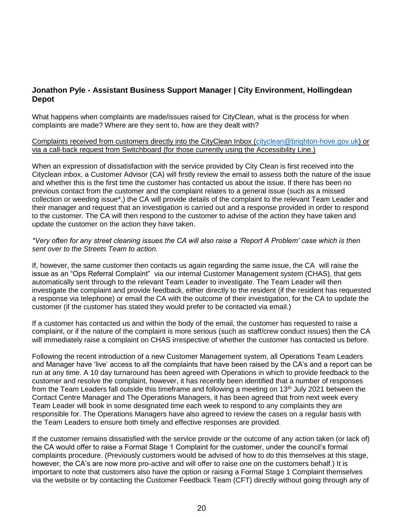### **Jonathon Pyle - Assistant Business Support Manager | City Environment, Hollingdean Depot**

What happens when complaints are made/issues raised for CityClean, what is the process for when complaints are made? Where are they sent to, how are they dealt with?

Complaints received from customers directly into the CityClean Inbox [\(cityclean@brighton-hove.gov.uk\)](mailto:cityclean@brighton-hove.gov.uk) or via a call-back request from Switchboard (for those currently using the Accessibility Line.)

When an expression of dissatisfaction with the service provided by City Clean is first received into the Cityclean inbox, a Customer Advisor (CA) will firstly review the email to assess both the nature of the issue and whether this is the first time the customer has contacted us about the issue. If there has been no previous contact from the customer and the complaint relates to a general issue (such as a missed collection or weeding issue\*,) the CA will provide details of the complaint to the relevant Team Leader and their manager and request that an investigation is carried out and a response provided in order to respond to the customer. The CA will then respond to the customer to advise of the action they have taken and update the customer on the action they have taken.

### *\*Very often for any street cleaning issues the CA will also raise a 'Report A Problem' case which is then sent over to the Streets Team to action.*

If, however, the same customer then contacts us again regarding the same issue, the CA will raise the issue as an "Ops Referral Complaint" via our internal Customer Management system (CHAS), that gets automatically sent through to the relevant Team Leader to investigate. The Team Leader will then investigate the complaint and provide feedback, either directly to the resident (if the resident has requested a response via telephone) or email the CA with the outcome of their investigation, for the CA to update the customer (if the customer has stated they would prefer to be contacted via email.)

If a customer has contacted us and within the body of the email, the customer has requested to raise a complaint, or if the nature of the complaint is more serious (such as staff/crew conduct issues) then the CA will immediately raise a complaint on CHAS irrespective of whether the customer has contacted us before.

Following the recent introduction of a new Customer Management system, all Operations Team Leaders and Manager have 'live' access to all the complaints that have been raised by the CA's and a report can be run at any time. A 10 day turnaround has been agreed with Operations in which to provide feedback to the customer and resolve the complaint, however, it has recently been identified that a number of responses from the Team Leaders fall outside this timeframe and following a meeting on 13<sup>th</sup> July 2021 between the Contact Centre Manager and The Operations Managers, it has been agreed that from next week every Team Leader will book in some designated time each week to respond to any complaints they are responsible for. The Operations Managers have also agreed to review the cases on a regular basis with the Team Leaders to ensure both timely and effective responses are provided.

If the customer remains dissatisfied with the service provide or the outcome of any action taken (or lack of) the CA would offer to raise a Formal Stage 1 Complaint for the customer, under the council's formal complaints procedure. (Previously customers would be advised of how to do this themselves at this stage, however, the CA's are now more pro-active and will offer to raise one on the customers behalf.) It is important to note that customers also have the option or raising a Formal Stage 1 Complaint themselves via the website or by contacting the Customer Feedback Team (CFT) directly without going through any of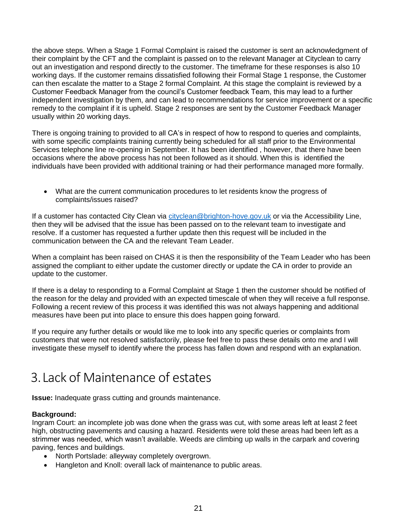the above steps. When a Stage 1 Formal Complaint is raised the customer is sent an acknowledgment of their complaint by the CFT and the complaint is passed on to the relevant Manager at Cityclean to carry out an investigation and respond directly to the customer. The timeframe for these responses is also 10 working days. If the customer remains dissatisfied following their Formal Stage 1 response, the Customer can then escalate the matter to a Stage 2 formal Complaint. At this stage the complaint is reviewed by a Customer Feedback Manager from the council's Customer feedback Team, this may lead to a further independent investigation by them, and can lead to recommendations for service improvement or a specific remedy to the complaint if it is upheld. Stage 2 responses are sent by the Customer Feedback Manager usually within 20 working days.

There is ongoing training to provided to all CA's in respect of how to respond to queries and complaints, with some specific complaints training currently being scheduled for all staff prior to the Environmental Services telephone line re-opening in September. It has been identified , however, that there have been occasions where the above process has not been followed as it should. When this is identified the individuals have been provided with additional training or had their performance managed more formally.

 What are the current communication procedures to let residents know the progress of complaints/issues raised?

If a customer has contacted City Clean via [cityclean@brighton-hove.gov.uk](mailto:cityclean@brighton-hove.gov.uk) or via the Accessibility Line, then they will be advised that the issue has been passed on to the relevant team to investigate and resolve. If a customer has requested a further update then this request will be included in the communication between the CA and the relevant Team Leader.

When a complaint has been raised on CHAS it is then the responsibility of the Team Leader who has been assigned the compliant to either update the customer directly or update the CA in order to provide an update to the customer.

If there is a delay to responding to a Formal Complaint at Stage 1 then the customer should be notified of the reason for the delay and provided with an expected timescale of when they will receive a full response. Following a recent review of this process it was identified this was not always happening and additional measures have been put into place to ensure this does happen going forward.

If you require any further details or would like me to look into any specific queries or complaints from customers that were not resolved satisfactorily, please feel free to pass these details onto me and I will investigate these myself to identify where the process has fallen down and respond with an explanation.

# 3.Lack of Maintenance of estates

**Issue:** Inadequate grass cutting and grounds maintenance.

### **Background:**

Ingram Court: an incomplete job was done when the grass was cut, with some areas left at least 2 feet high, obstructing pavements and causing a hazard. Residents were told these areas had been left as a strimmer was needed, which wasn't available. Weeds are climbing up walls in the carpark and covering paving, fences and buildings.

- North Portslade: alleyway completely overgrown.
- Hangleton and Knoll: overall lack of maintenance to public areas.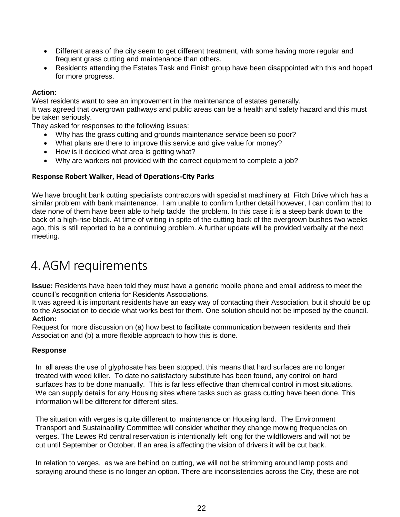- Different areas of the city seem to get different treatment, with some having more regular and frequent grass cutting and maintenance than others.
- Residents attending the Estates Task and Finish group have been disappointed with this and hoped for more progress.

### **Action:**

West residents want to see an improvement in the maintenance of estates generally.

It was agreed that overgrown pathways and public areas can be a health and safety hazard and this must be taken seriously.

They asked for responses to the following issues:

- Why has the grass cutting and grounds maintenance service been so poor?
- What plans are there to improve this service and give value for money?
- How is it decided what area is getting what?
- Why are workers not provided with the correct equipment to complete a job?

### **Response Robert Walker, Head of Operations-City Parks**

We have brought bank cutting specialists contractors with specialist machinery at Fitch Drive which has a similar problem with bank maintenance. I am unable to confirm further detail however, I can confirm that to date none of them have been able to help tackle the problem. In this case it is a steep bank down to the back of a high-rise block. At time of writing in spite of the cutting back of the overgrown bushes two weeks ago, this is still reported to be a continuing problem. A further update will be provided verbally at the next meeting.

## 4.AGM requirements

**Issue:** Residents have been told they must have a generic mobile phone and email address to meet the council's recognition criteria for Residents Associations.

It was agreed it is important residents have an easy way of contacting their Association, but it should be up to the Association to decide what works best for them. One solution should not be imposed by the council. **Action:**

Request for more discussion on (a) how best to facilitate communication between residents and their Association and (b) a more flexible approach to how this is done.

### **Response**

In all areas the use of glyphosate has been stopped, this means that hard surfaces are no longer treated with weed killer. To date no satisfactory substitute has been found, any control on hard surfaces has to be done manually. This is far less effective than chemical control in most situations. We can supply details for any Housing sites where tasks such as grass cutting have been done. This information will be different for different sites.

The situation with verges is quite different to maintenance on Housing land. The Environment Transport and Sustainability Committee will consider whether they change mowing frequencies on verges. The Lewes Rd central reservation is intentionally left long for the wildflowers and will not be cut until September or October. If an area is affecting the vision of drivers it will be cut back.

In relation to verges, as we are behind on cutting, we will not be strimming around lamp posts and spraying around these is no longer an option. There are inconsistencies across the City, these are not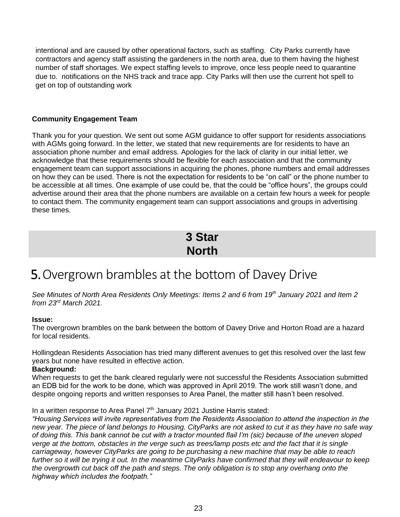intentional and are caused by other operational factors, such as staffing. City Parks currently have contractors and agency staff assisting the gardeners in the north area, due to them having the highest number of staff shortages. We expect staffing levels to improve, once less people need to quarantine due to. notifications on the NHS track and trace app. City Parks will then use the current hot spell to get on top of outstanding work

### **Community Engagement Team**

Thank you for your question. We sent out some AGM guidance to offer support for residents associations with AGMs going forward. In the letter, we stated that new requirements are for residents to have an association phone number and email address. Apologies for the lack of clarity in our initial letter, we acknowledge that these requirements should be flexible for each association and that the community engagement team can support associations in acquiring the phones, phone numbers and email addresses on how they can be used. There is not the expectation for residents to be "on call" or the phone number to be accessible at all times. One example of use could be, that the could be "office hours", the groups could advertise around their area that the phone numbers are available on a certain few hours a week for people to contact them. The community engagement team can support associations and groups in advertising these times.

### **3 Star North**

## 5.Overgrown brambles at the bottom of Davey Drive

*See Minutes of North Area Residents Only Meetings: Items 2 and 6 from 19th January 2021 and Item 2 from 23rd March 2021.*

### **Issue:**

The overgrown brambles on the bank between the bottom of Davey Drive and Horton Road are a hazard for local residents.

Hollingdean Residents Association has tried many different avenues to get this resolved over the last few years but none have resulted in effective action.

### **Background:**

When requests to get the bank cleared regularly were not successful the Residents Association submitted an EDB bid for the work to be done, which was approved in April 2019. The work still wasn't done, and despite ongoing reports and written responses to Area Panel, the matter still hasn't been resolved.

### In a written response to Area Panel  $7<sup>th</sup>$  January 2021 Justine Harris stated:

*"Housing Services will invite representatives from the Residents Association to attend the inspection in the new year. The piece of land belongs to Housing. CityParks are not asked to cut it as they have no safe way of doing this. This bank cannot be cut with a tractor mounted flail I'm (sic) because of the uneven sloped verge at the bottom, obstacles in the verge such as trees/lamp posts etc and the fact that it is single carriageway, however CityParks are going to be purchasing a new machine that may be able to reach further so it will be trying it out. In the meantime CityParks have confirmed that they will endeavour to keep the overgrowth cut back off the path and steps. The only obligation is to stop any overhang onto the highway which includes the footpath."*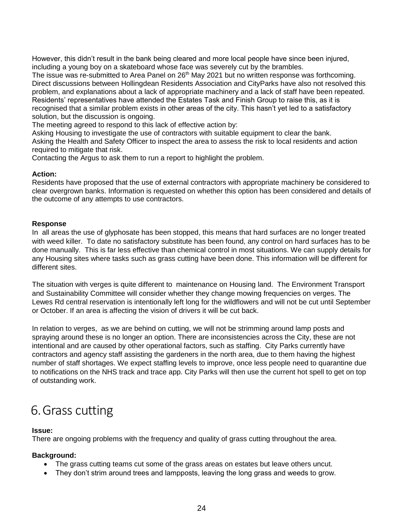However, this didn't result in the bank being cleared and more local people have since been injured, including a young boy on a skateboard whose face was severely cut by the brambles.

The issue was re-submitted to Area Panel on 26<sup>th</sup> May 2021 but no written response was forthcoming. Direct discussions between Hollingdean Residents Association and CityParks have also not resolved this problem, and explanations about a lack of appropriate machinery and a lack of staff have been repeated. Residents' representatives have attended the Estates Task and Finish Group to raise this, as it is recognised that a similar problem exists in other areas of the city. This hasn't yet led to a satisfactory solution, but the discussion is ongoing.

The meeting agreed to respond to this lack of effective action by:

Asking Housing to investigate the use of contractors with suitable equipment to clear the bank. Asking the Health and Safety Officer to inspect the area to assess the risk to local residents and action required to mitigate that risk.

Contacting the Argus to ask them to run a report to highlight the problem.

#### **Action:**

Residents have proposed that the use of external contractors with appropriate machinery be considered to clear overgrown banks. Information is requested on whether this option has been considered and details of the outcome of any attempts to use contractors.

#### **Response**

In all areas the use of glyphosate has been stopped, this means that hard surfaces are no longer treated with weed killer. To date no satisfactory substitute has been found, any control on hard surfaces has to be done manually. This is far less effective than chemical control in most situations. We can supply details for any Housing sites where tasks such as grass cutting have been done. This information will be different for different sites.

The situation with verges is quite different to maintenance on Housing land. The Environment Transport and Sustainability Committee will consider whether they change mowing frequencies on verges. The Lewes Rd central reservation is intentionally left long for the wildflowers and will not be cut until September or October. If an area is affecting the vision of drivers it will be cut back.

In relation to verges, as we are behind on cutting, we will not be strimming around lamp posts and spraying around these is no longer an option. There are inconsistencies across the City, these are not intentional and are caused by other operational factors, such as staffing. City Parks currently have contractors and agency staff assisting the gardeners in the north area, due to them having the highest number of staff shortages. We expect staffing levels to improve, once less people need to quarantine due to notifications on the NHS track and trace app. City Parks will then use the current hot spell to get on top of outstanding work.

## 6.Grass cutting

### **Issue:**

There are ongoing problems with the frequency and quality of grass cutting throughout the area.

### **Background:**

- The grass cutting teams cut some of the grass areas on estates but leave others uncut.
- They don't strim around trees and lampposts, leaving the long grass and weeds to grow.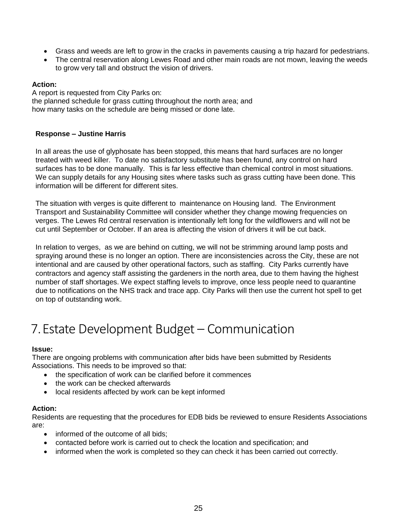- Grass and weeds are left to grow in the cracks in pavements causing a trip hazard for pedestrians.
- The central reservation along Lewes Road and other main roads are not mown, leaving the weeds to grow very tall and obstruct the vision of drivers.

### **Action:**

A report is requested from City Parks on: the planned schedule for grass cutting throughout the north area; and how many tasks on the schedule are being missed or done late.

### **Response – Justine Harris**

In all areas the use of glyphosate has been stopped, this means that hard surfaces are no longer treated with weed killer. To date no satisfactory substitute has been found, any control on hard surfaces has to be done manually. This is far less effective than chemical control in most situations. We can supply details for any Housing sites where tasks such as grass cutting have been done. This information will be different for different sites.

The situation with verges is quite different to maintenance on Housing land. The Environment Transport and Sustainability Committee will consider whether they change mowing frequencies on verges. The Lewes Rd central reservation is intentionally left long for the wildflowers and will not be cut until September or October. If an area is affecting the vision of drivers it will be cut back.

In relation to verges, as we are behind on cutting, we will not be strimming around lamp posts and spraying around these is no longer an option. There are inconsistencies across the City, these are not intentional and are caused by other operational factors, such as staffing. City Parks currently have contractors and agency staff assisting the gardeners in the north area, due to them having the highest number of staff shortages. We expect staffing levels to improve, once less people need to quarantine due to notifications on the NHS track and trace app. City Parks will then use the current hot spell to get on top of outstanding work.

## 7.Estate Development Budget – Communication

### **Issue:**

There are ongoing problems with communication after bids have been submitted by Residents Associations. This needs to be improved so that:

- the specification of work can be clarified before it commences
- the work can be checked afterwards
- local residents affected by work can be kept informed

### **Action:**

Residents are requesting that the procedures for EDB bids be reviewed to ensure Residents Associations are:

- informed of the outcome of all bids:
- contacted before work is carried out to check the location and specification; and
- informed when the work is completed so they can check it has been carried out correctly.